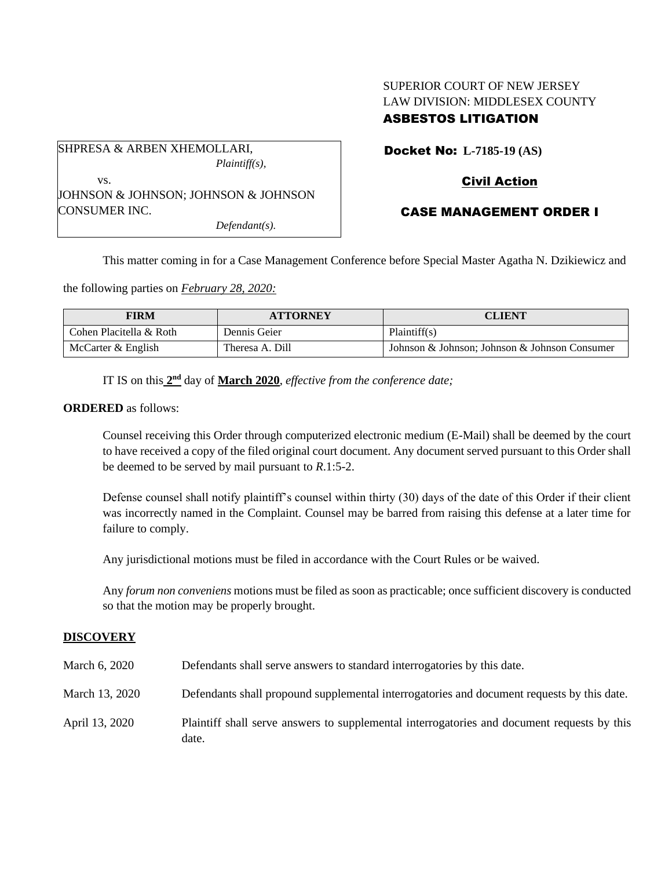# SUPERIOR COURT OF NEW JERSEY LAW DIVISION: MIDDLESEX COUNTY ASBESTOS LITIGATION

| SHPRESA & ARBEN XHEMOLLARI,          |
|--------------------------------------|
| <i>Plaintiff(s),</i>                 |
| VS.                                  |
| JOHNSON & JOHNSON; JOHNSON & JOHNSON |
| <b>CONSUMER INC.</b>                 |
| $Defendant(s)$ .                     |

Docket No: **L-7185-19 (AS)**

# Civil Action

# CASE MANAGEMENT ORDER I

This matter coming in for a Case Management Conference before Special Master Agatha N. Dzikiewicz and

the following parties on *February 28, 2020:*

| FIRM                    | <b>ATTORNEY</b> | CLIENT                                        |
|-------------------------|-----------------|-----------------------------------------------|
| Cohen Placitella & Roth | Dennis Geier    | Plaintiff(s)                                  |
| McCarter & English      | Theresa A. Dill | Johnson & Johnson: Johnson & Johnson Consumer |

IT IS on this  $2<sup>nd</sup>$  day of **March 2020**, *effective from the conference date*;

#### **ORDERED** as follows:

Counsel receiving this Order through computerized electronic medium (E-Mail) shall be deemed by the court to have received a copy of the filed original court document. Any document served pursuant to this Order shall be deemed to be served by mail pursuant to *R*.1:5-2.

Defense counsel shall notify plaintiff's counsel within thirty (30) days of the date of this Order if their client was incorrectly named in the Complaint. Counsel may be barred from raising this defense at a later time for failure to comply.

Any jurisdictional motions must be filed in accordance with the Court Rules or be waived.

Any *forum non conveniens* motions must be filed as soon as practicable; once sufficient discovery is conducted so that the motion may be properly brought.

## **DISCOVERY**

| March 6, 2020  | Defendants shall serve answers to standard interrogatories by this date.                             |
|----------------|------------------------------------------------------------------------------------------------------|
| March 13, 2020 | Defendants shall propound supplemental interrogatories and document requests by this date.           |
| April 13, 2020 | Plaintiff shall serve answers to supplemental interrogatories and document requests by this<br>date. |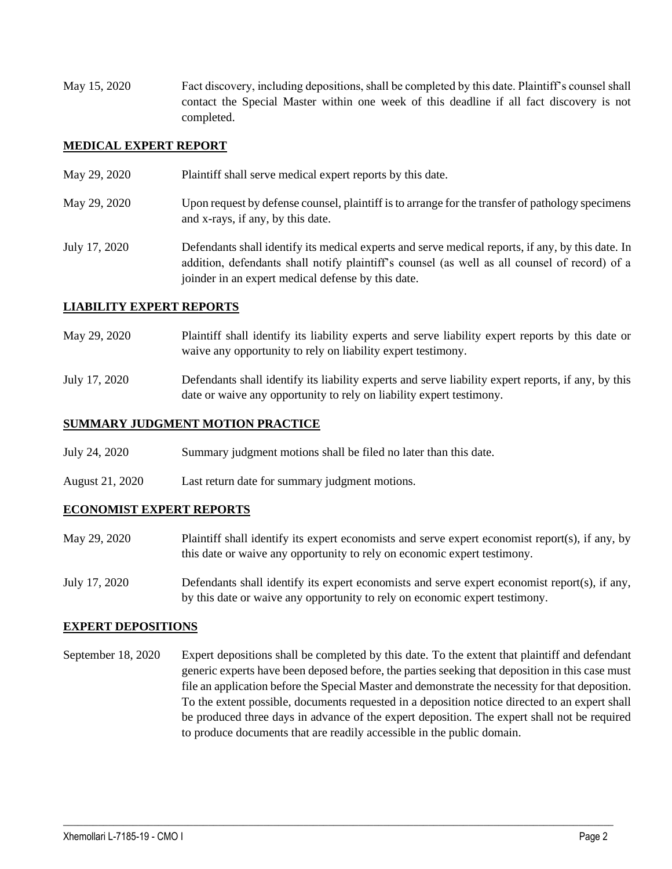May 15, 2020 Fact discovery, including depositions, shall be completed by this date. Plaintiff's counsel shall contact the Special Master within one week of this deadline if all fact discovery is not completed.

## **MEDICAL EXPERT REPORT**

May 29, 2020 Plaintiff shall serve medical expert reports by this date. May 29, 2020 Upon request by defense counsel, plaintiff is to arrange for the transfer of pathology specimens and x-rays, if any, by this date. July 17, 2020 Defendants shall identify its medical experts and serve medical reports, if any, by this date. In addition, defendants shall notify plaintiff's counsel (as well as all counsel of record) of a joinder in an expert medical defense by this date.

## **LIABILITY EXPERT REPORTS**

- May 29, 2020 Plaintiff shall identify its liability experts and serve liability expert reports by this date or waive any opportunity to rely on liability expert testimony.
- July 17, 2020 Defendants shall identify its liability experts and serve liability expert reports, if any, by this date or waive any opportunity to rely on liability expert testimony.

## **SUMMARY JUDGMENT MOTION PRACTICE**

- July 24, 2020 Summary judgment motions shall be filed no later than this date.
- August 21, 2020 Last return date for summary judgment motions.

## **ECONOMIST EXPERT REPORTS**

- May 29, 2020 Plaintiff shall identify its expert economists and serve expert economist report(s), if any, by this date or waive any opportunity to rely on economic expert testimony.
- July 17, 2020 Defendants shall identify its expert economists and serve expert economist report(s), if any, by this date or waive any opportunity to rely on economic expert testimony.

## **EXPERT DEPOSITIONS**

September 18, 2020 Expert depositions shall be completed by this date. To the extent that plaintiff and defendant generic experts have been deposed before, the parties seeking that deposition in this case must file an application before the Special Master and demonstrate the necessity for that deposition. To the extent possible, documents requested in a deposition notice directed to an expert shall be produced three days in advance of the expert deposition. The expert shall not be required to produce documents that are readily accessible in the public domain.

 $\_$  , and the set of the set of the set of the set of the set of the set of the set of the set of the set of the set of the set of the set of the set of the set of the set of the set of the set of the set of the set of th